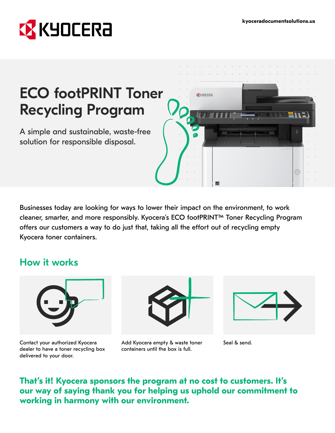

# ECO footPRINT Toner Recycling Program

A simple and sustainable, waste-free solution for responsible disposal.



Businesses today are looking for ways to lower their impact on the environment, to work cleaner, smarter, and more responsibly. Kyocera's ECO footPRINT™ Toner Recycling Program offers our customers a way to do just that, taking all the effort out of recycling empty Kyocera toner containers.

## How it works



Contact your authorized Kyocera dealer to have a toner recycling box delivered to your door.



Add Kyocera empty & waste toner containers until the box is full.



Seal & send.

### **That's it! Kyocera sponsors the program at no cost to customers. It's our way of saying thank you for helping us uphold our commitment to working in harmony with our environment.**